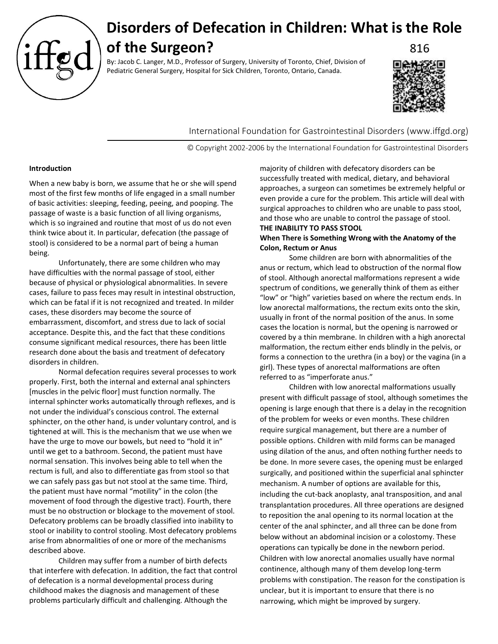

# **Disorders of Defecation in Children: What is the Role of the Surgeon?** 816

By: Jacob C. Langer, M.D., Professor of Surgery, University of Toronto, Chief, Division of Pediatric General Surgery, Hospital for Sick Children, Toronto, Ontario, Canada.



International Foundation for Gastrointestinal Disorders (www.iffgd.org)

© Copyright 2002-2006 by the International Foundation for Gastrointestinal Disorders

### **Introduction**

When a new baby is born, we assume that he or she will spend most of the first few months of life engaged in a small number of basic activities: sleeping, feeding, peeing, and pooping. The passage of waste is a basic function of all living organisms, which is so ingrained and routine that most of us do not even think twice about it. In particular, defecation (the passage of stool) is considered to be a normal part of being a human being.

Unfortunately, there are some children who may have difficulties with the normal passage of stool, either because of physical or physiological abnormalities. In severe cases, failure to pass feces may result in intestinal obstruction, which can be fatal if it is not recognized and treated. In milder cases, these disorders may become the source of embarrassment, discomfort, and stress due to lack of social acceptance. Despite this, and the fact that these conditions consume significant medical resources, there has been little research done about the basis and treatment of defecatory disorders in children.

Normal defecation requires several processes to work properly. First, both the internal and external anal sphincters [muscles in the pelvic floor] must function normally. The internal sphincter works automatically through reflexes, and is not under the individual's conscious control. The external sphincter, on the other hand, is under voluntary control, and is tightened at will. This is the mechanism that we use when we have the urge to move our bowels, but need to "hold it in" until we get to a bathroom. Second, the patient must have normal sensation. This involves being able to tell when the rectum is full, and also to differentiate gas from stool so that we can safely pass gas but not stool at the same time. Third, the patient must have normal "motility" in the colon (the movement of food through the digestive tract). Fourth, there must be no obstruction or blockage to the movement of stool. Defecatory problems can be broadly classified into inability to stool or inability to control stooling. Most defecatory problems arise from abnormalities of one or more of the mechanisms described above.

Children may suffer from a number of birth defects that interfere with defecation. In addition, the fact that control of defecation is a normal developmental process during childhood makes the diagnosis and management of these problems particularly difficult and challenging. Although the

majority of children with defecatory disorders can be successfully treated with medical, dietary, and behavioral approaches, a surgeon can sometimes be extremely helpful or even provide a cure for the problem. This article will deal with surgical approaches to children who are unable to pass stool, and those who are unable to control the passage of stool. **THE INABILITY TO PASS STOOL** 

## **When There is Something Wrong with the Anatomy of the Colon, Rectum or Anus**

Some children are born with abnormalities of the anus or rectum, which lead to obstruction of the normal flow of stool. Although anorectal malformations represent a wide spectrum of conditions, we generally think of them as either "low" or "high" varieties based on where the rectum ends. In low anorectal malformations, the rectum exits onto the skin, usually in front of the normal position of the anus. In some cases the location is normal, but the opening is narrowed or covered by a thin membrane. In children with a high anorectal malformation, the rectum either ends blindly in the pelvis, or forms a connection to the urethra (in a boy) or the vagina (in a girl). These types of anorectal malformations are often referred to as "imperforate anus."

Children with low anorectal malformations usually present with difficult passage of stool, although sometimes the opening is large enough that there is a delay in the recognition of the problem for weeks or even months. These children require surgical management, but there are a number of possible options. Children with mild forms can be managed using dilation of the anus, and often nothing further needs to be done. In more severe cases, the opening must be enlarged surgically, and positioned within the superficial anal sphincter mechanism. A number of options are available for this, including the cut-back anoplasty, anal transposition, and anal transplantation procedures. All three operations are designed to reposition the anal opening to its normal location at the center of the anal sphincter, and all three can be done from below without an abdominal incision or a colostomy. These operations can typically be done in the newborn period. Children with low anorectal anomalies usually have normal continence, although many of them develop long-term problems with constipation. The reason for the constipation is unclear, but it is important to ensure that there is no narrowing, which might be improved by surgery.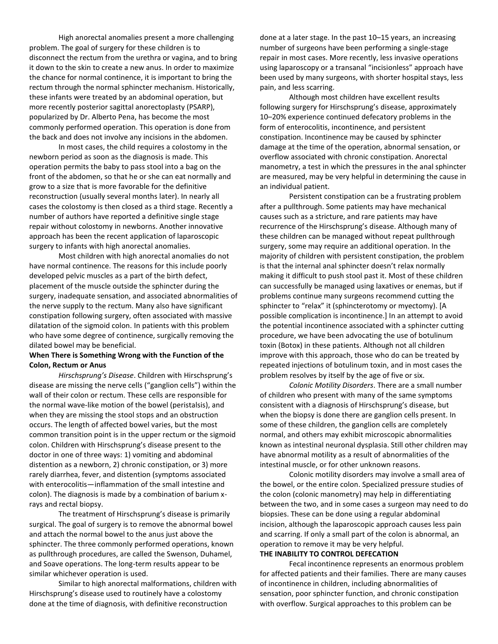High anorectal anomalies present a more challenging problem. The goal of surgery for these children is to disconnect the rectum from the urethra or vagina, and to bring it down to the skin to create a new anus. In order to maximize the chance for normal continence, it is important to bring the rectum through the normal sphincter mechanism. Historically, these infants were treated by an abdominal operation, but more recently posterior sagittal anorectoplasty (PSARP), popularized by Dr. Alberto Pena, has become the most commonly performed operation. This operation is done from the back and does not involve any incisions in the abdomen.

In most cases, the child requires a colostomy in the newborn period as soon as the diagnosis is made. This operation permits the baby to pass stool into a bag on the front of the abdomen, so that he or she can eat normally and grow to a size that is more favorable for the definitive reconstruction (usually several months later). In nearly all cases the colostomy is then closed as a third stage. Recently a number of authors have reported a definitive single stage repair without colostomy in newborns. Another innovative approach has been the recent application of laparoscopic surgery to infants with high anorectal anomalies.

Most children with high anorectal anomalies do not have normal continence. The reasons for this include poorly developed pelvic muscles as a part of the birth defect, placement of the muscle outside the sphincter during the surgery, inadequate sensation, and associated abnormalities of the nerve supply to the rectum. Many also have significant constipation following surgery, often associated with massive dilatation of the sigmoid colon. In patients with this problem who have some degree of continence, surgically removing the dilated bowel may be beneficial.

## **When There is Something Wrong with the Function of the Colon, Rectum or Anus**

*Hirschsprung's Disease*. Children with Hirschsprung's disease are missing the nerve cells ("ganglion cells") within the wall of their colon or rectum. These cells are responsible for the normal wave-like motion of the bowel (peristalsis), and when they are missing the stool stops and an obstruction occurs. The length of affected bowel varies, but the most common transition point is in the upper rectum or the sigmoid colon. Children with Hirschsprung's disease present to the doctor in one of three ways: 1) vomiting and abdominal distention as a newborn, 2) chronic constipation, or 3) more rarely diarrhea, fever, and distention (symptoms associated with enterocolitis—inflammation of the small intestine and colon). The diagnosis is made by a combination of barium xrays and rectal biopsy.

The treatment of Hirschsprung's disease is primarily surgical. The goal of surgery is to remove the abnormal bowel and attach the normal bowel to the anus just above the sphincter. The three commonly performed operations, known as pullthrough procedures, are called the Swenson, Duhamel, and Soave operations. The long-term results appear to be similar whichever operation is used.

Similar to high anorectal malformations, children with Hirschsprung's disease used to routinely have a colostomy done at the time of diagnosis, with definitive reconstruction

done at a later stage. In the past 10–15 years, an increasing number of surgeons have been performing a single-stage repair in most cases. More recently, less invasive operations using laparoscopy or a transanal "incisionless" approach have been used by many surgeons, with shorter hospital stays, less pain, and less scarring.

Although most children have excellent results following surgery for Hirschsprung's disease, approximately 10–20% experience continued defecatory problems in the form of enterocolitis, incontinence, and persistent constipation. Incontinence may be caused by sphincter damage at the time of the operation, abnormal sensation, or overflow associated with chronic constipation. Anorectal manometry, a test in which the pressures in the anal sphincter are measured, may be very helpful in determining the cause in an individual patient.

Persistent constipation can be a frustrating problem after a pullthrough. Some patients may have mechanical causes such as a stricture, and rare patients may have recurrence of the Hirschsprung's disease. Although many of these children can be managed without repeat pullthrough surgery, some may require an additional operation. In the majority of children with persistent constipation, the problem is that the internal anal sphincter doesn't relax normally making it difficult to push stool past it. Most of these children can successfully be managed using laxatives or enemas, but if problems continue many surgeons recommend cutting the sphincter to "relax" it (sphincterotomy or myectomy). [A possible complication is incontinence.] In an attempt to avoid the potential incontinence associated with a sphincter cutting procedure, we have been advocating the use of botulinum toxin (Botox) in these patients. Although not all children improve with this approach, those who do can be treated by repeated injections of botulinum toxin, and in most cases the problem resolves by itself by the age of five or six.

*Colonic Motility Disorders*. There are a small number of children who present with many of the same symptoms consistent with a diagnosis of Hirschsprung's disease, but when the biopsy is done there are ganglion cells present. In some of these children, the ganglion cells are completely normal, and others may exhibit microscopic abnormalities known as intestinal neuronal dysplasia. Still other children may have abnormal motility as a result of abnormalities of the intestinal muscle, or for other unknown reasons.

Colonic motility disorders may involve a small area of the bowel, or the entire colon. Specialized pressure studies of the colon (colonic manometry) may help in differentiating between the two, and in some cases a surgeon may need to do biopsies. These can be done using a regular abdominal incision, although the laparoscopic approach causes less pain and scarring. If only a small part of the colon is abnormal, an operation to remove it may be very helpful.

## **THE INABILITY TO CONTROL DEFECATION**

Fecal incontinence represents an enormous problem for affected patients and their families. There are many causes of incontinence in children, including abnormalities of sensation, poor sphincter function, and chronic constipation with overflow. Surgical approaches to this problem can be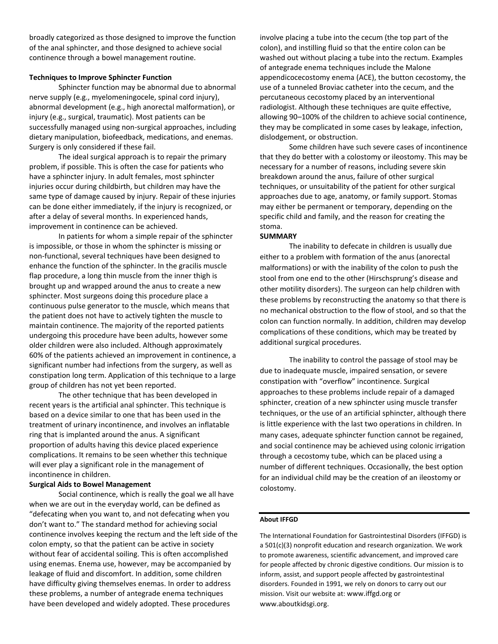broadly categorized as those designed to improve the function of the anal sphincter, and those designed to achieve social continence through a bowel management routine.

#### **Techniques to Improve Sphincter Function**

Sphincter function may be abnormal due to abnormal nerve supply (e.g., myelomeningocele, spinal cord injury), abnormal development (e.g., high anorectal malformation), or injury (e.g., surgical, traumatic). Most patients can be successfully managed using non-surgical approaches, including dietary manipulation, biofeedback, medications, and enemas. Surgery is only considered if these fail.

The ideal surgical approach is to repair the primary problem, if possible. This is often the case for patients who have a sphincter injury. In adult females, most sphincter injuries occur during childbirth, but children may have the same type of damage caused by injury. Repair of these injuries can be done either immediately, if the injury is recognized, or after a delay of several months. In experienced hands, improvement in continence can be achieved.

In patients for whom a simple repair of the sphincter is impossible, or those in whom the sphincter is missing or non-functional, several techniques have been designed to enhance the function of the sphincter. In the gracilis muscle flap procedure, a long thin muscle from the inner thigh is brought up and wrapped around the anus to create a new sphincter. Most surgeons doing this procedure place a continuous pulse generator to the muscle, which means that the patient does not have to actively tighten the muscle to maintain continence. The majority of the reported patients undergoing this procedure have been adults, however some older children were also included. Although approximately 60% of the patients achieved an improvement in continence, a significant number had infections from the surgery, as well as constipation long term. Application of this technique to a large group of children has not yet been reported.

The other technique that has been developed in recent years is the artificial anal sphincter. This technique is based on a device similar to one that has been used in the treatment of urinary incontinence, and involves an inflatable ring that is implanted around the anus. A significant proportion of adults having this device placed experience complications. It remains to be seen whether this technique will ever play a significant role in the management of incontinence in children.

#### **Surgical Aids to Bowel Management**

Social continence, which is really the goal we all have when we are out in the everyday world, can be defined as "defecating when you want to, and not defecating when you don't want to." The standard method for achieving social continence involves keeping the rectum and the left side of the colon empty, so that the patient can be active in society without fear of accidental soiling. This is often accomplished using enemas. Enema use, however, may be accompanied by leakage of fluid and discomfort. In addition, some children have difficulty giving themselves enemas. In order to address these problems, a number of antegrade enema techniques have been developed and widely adopted. These procedures

involve placing a tube into the cecum (the top part of the colon), and instilling fluid so that the entire colon can be washed out without placing a tube into the rectum. Examples of antegrade enema techniques include the Malone appendicocecostomy enema (ACE), the button cecostomy, the use of a tunneled Broviac catheter into the cecum, and the percutaneous cecostomy placed by an interventional radiologist. Although these techniques are quite effective, allowing 90–100% of the children to achieve social continence, they may be complicated in some cases by leakage, infection, dislodgement, or obstruction.

Some children have such severe cases of incontinence that they do better with a colostomy or ileostomy. This may be necessary for a number of reasons, including severe skin breakdown around the anus, failure of other surgical techniques, or unsuitability of the patient for other surgical approaches due to age, anatomy, or family support. Stomas may either be permanent or temporary, depending on the specific child and family, and the reason for creating the stoma.

#### **SUMMARY**

The inability to defecate in children is usually due either to a problem with formation of the anus (anorectal malformations) or with the inability of the colon to push the stool from one end to the other (Hirschsprung's disease and other motility disorders). The surgeon can help children with these problems by reconstructing the anatomy so that there is no mechanical obstruction to the flow of stool, and so that the colon can function normally. In addition, children may develop complications of these conditions, which may be treated by additional surgical procedures.

The inability to control the passage of stool may be due to inadequate muscle, impaired sensation, or severe constipation with "overflow" incontinence. Surgical approaches to these problems include repair of a damaged sphincter, creation of a new sphincter using muscle transfer techniques, or the use of an artificial sphincter, although there is little experience with the last two operations in children. In many cases, adequate sphincter function cannot be regained, and social continence may be achieved using colonic irrigation through a cecostomy tube, which can be placed using a number of different techniques. Occasionally, the best option for an individual child may be the creation of an ileostomy or colostomy.

#### **About IFFGD**

The International Foundation for Gastrointestinal Disorders (IFFGD) is a 501(c)(3) nonprofit education and research organization. We work to promote awareness, scientific advancement, and improved care for people affected by chronic digestive conditions. Our mission is to inform, assist, and support people affected by gastrointestinal disorders. Founded in 1991, we rely on donors to carry out our mission. Visit our website at: www.iffgd.org or www.aboutkidsgi.org.